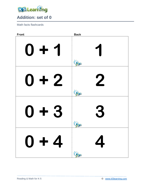

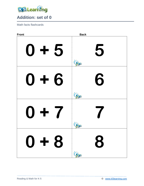

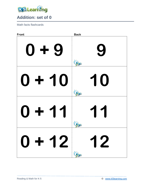

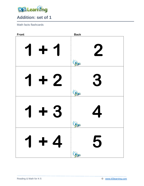

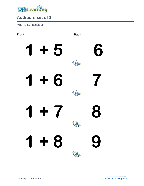

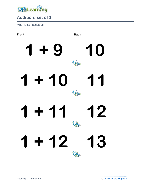

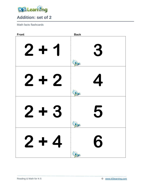

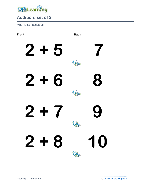